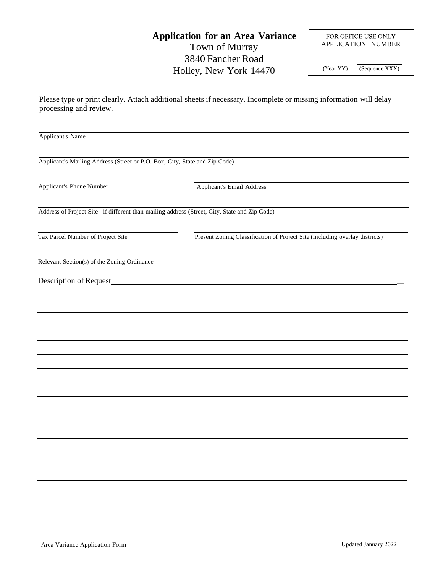## **Application for an Area Variance** Town of Murray 3840 Fancher Road Holley, New York 14470

FOR OFFICE USE ONLY APPLICATION NUMBER (Year YY) (Sequence XXX)

Please type or print clearly. Attach additional sheets if necessary. Incomplete or missing information will delay processing and review.

| Applicant's Name                                                                               |                                                                             |  |  |  |
|------------------------------------------------------------------------------------------------|-----------------------------------------------------------------------------|--|--|--|
| Applicant's Mailing Address (Street or P.O. Box, City, State and Zip Code)                     |                                                                             |  |  |  |
| Applicant's Phone Number                                                                       | Applicant's Email Address                                                   |  |  |  |
| Address of Project Site - if different than mailing address (Street, City, State and Zip Code) |                                                                             |  |  |  |
| Tax Parcel Number of Project Site                                                              | Present Zoning Classification of Project Site (including overlay districts) |  |  |  |
| Relevant Section(s) of the Zoning Ordinance                                                    |                                                                             |  |  |  |
| Description of Request_                                                                        |                                                                             |  |  |  |
|                                                                                                |                                                                             |  |  |  |
|                                                                                                |                                                                             |  |  |  |
|                                                                                                |                                                                             |  |  |  |
|                                                                                                |                                                                             |  |  |  |
|                                                                                                |                                                                             |  |  |  |
|                                                                                                |                                                                             |  |  |  |
|                                                                                                |                                                                             |  |  |  |
|                                                                                                |                                                                             |  |  |  |
|                                                                                                |                                                                             |  |  |  |
|                                                                                                |                                                                             |  |  |  |
|                                                                                                |                                                                             |  |  |  |
|                                                                                                |                                                                             |  |  |  |
|                                                                                                |                                                                             |  |  |  |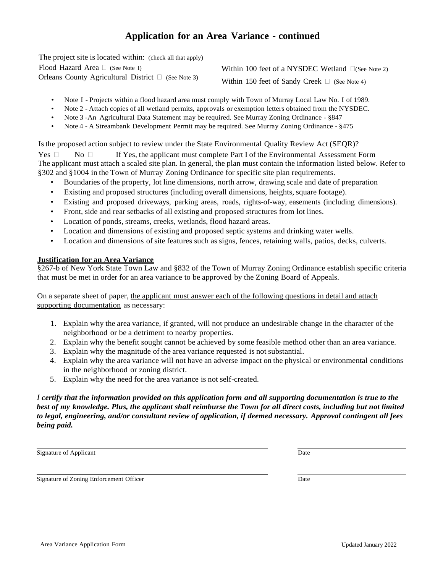## **Application for an Area Variance** - **continued**

The project site is located within: (check all that apply) Flood Hazard Area  $\Box$  (See Note I) Orleans County Agricultural District  $\Box$  (See Note 3)

Within 100 feet of a NYSDEC Wetland  $\Box$ (See Note 2)

Within 150 feet of Sandy Creek  $\Box$  (See Note 4)

- Note I Projects within a flood hazard area must comply with Town of Murray Local Law No. I of 1989.
- Note 2 Attach copies of all wetland permits, approvals or exemption letters obtained from the NYSDEC.
- Note 3 -An Agricultural Data Statement may be required. See Murray Zoning Ordinance §847
- Note 4 A Streambank Development Permit may be required. See Murray Zoning Ordinance §475

Isthe proposed action subject to review under the State Environmental Quality Review Act (SEQR)?

Yes  $\Box$  No  $\Box$  If Yes, the applicant must complete Part I of the Environmental Assessment Form The applicant must attach a scaled site plan. In general, the plan must contain the information listed below. Refer to §302 and §1004 in the Town of Murray Zoning Ordinance for specific site plan requirements.

- Boundaries of the property, lot line dimensions, north arrow, drawing scale and date of preparation
- Existing and proposed structures (including overall dimensions, heights, square footage).
- Existing and proposed driveways, parking areas, roads, rights-of-way, easements (including dimensions).
- Front, side and rear setbacks of all existing and proposed structures from lot lines.
- Location of ponds, streams, creeks, wetlands, flood hazard areas.
- Location and dimensions of existing and proposed septic systems and drinking water wells.
- Location and dimensions of site features such as signs, fences, retaining walls, patios, decks, culverts.

#### **Justification for an Area Variance**

§267-b of New York State Town Law and §832 of the Town of Murray Zoning Ordinance establish specific criteria that must be met in order for an area variance to be approved by the Zoning Board of Appeals.

On a separate sheet of paper, the applicant must answer each of the following questions in detail and attach supporting documentation as necessary:

- 1. Explain why the area variance, if granted, will not produce an undesirable change in the character of the neighborhood or be a detriment to nearby properties.
- 2. Explain why the benefit sought cannot be achieved by some feasible method other than an area variance.
- 3. Explain why the magnitude of the area variance requested is not substantial.
- 4. Explain why the area variance will not have an adverse impact on the physical or environmental conditions in the neighborhood or zoning district.
- 5. Explain why the need for the area variance is not self-created.

#### *I certify that the information provided on this application form and all supporting documentation is true to the best of my knowledge. Plus, the applicant shall reimburse the Town for all direct costs, including but not limited to legal, engineering, and/or consultant review of application, if deemed necessary. Approval contingent all fees being paid.*

Signature of Applicant Date

Signature of Zoning Enforcement Officer **Date** Date Date Date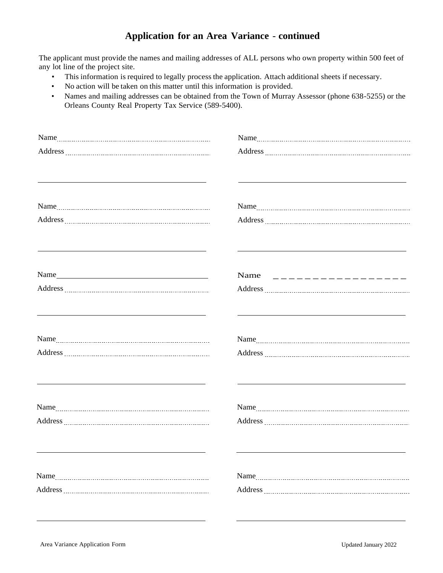## **Application for an Area Variance** - **continued**

The applicant must provide the names and mailing addresses of ALL persons who own property within 500 feet of any lot line of the project site.

- This information is required to legally process the application. Attach additional sheets if necessary.
- No action will be taken on this matter until this information is provided.
- Names and mailing addresses can be obtained from the Town of Murray Assessor (phone 638-5255) or the Orleans County Real Property Tax Service (589-5400).

| <u> 1989 - Johann Stoff, deutscher Stoff, der Stoff, der Stoff, der Stoff, der Stoff, der Stoff, der Stoff, der S</u>                                                                                                         | <u> 1980 - Johann Stoff, deutscher Stoff, der Stoff, der Stoff, der Stoff, der Stoff, der Stoff, der Stoff, der S</u>                                                                                                                                                                                                                    |  |
|-------------------------------------------------------------------------------------------------------------------------------------------------------------------------------------------------------------------------------|------------------------------------------------------------------------------------------------------------------------------------------------------------------------------------------------------------------------------------------------------------------------------------------------------------------------------------------|--|
|                                                                                                                                                                                                                               |                                                                                                                                                                                                                                                                                                                                          |  |
|                                                                                                                                                                                                                               |                                                                                                                                                                                                                                                                                                                                          |  |
|                                                                                                                                                                                                                               |                                                                                                                                                                                                                                                                                                                                          |  |
| the control of the control of the control of the control of the control of the control of the control of the control of the control of the control of the control of the control of the control of the control of the control | and the control of the control of the control of the control of the control of the control of the control of the                                                                                                                                                                                                                         |  |
|                                                                                                                                                                                                                               |                                                                                                                                                                                                                                                                                                                                          |  |
|                                                                                                                                                                                                                               | Name $\qquad$ $\qquad$ $\qquad$ $\qquad$ $\qquad$ $\qquad$ $\qquad$ $\qquad$ $\qquad$ $\qquad$ $\qquad$ $\qquad$ $\qquad$ $\qquad$ $\qquad$ $\qquad$ $\qquad$ $\qquad$ $\qquad$ $\qquad$ $\qquad$ $\qquad$ $\qquad$ $\qquad$ $\qquad$ $\qquad$ $\qquad$ $\qquad$ $\qquad$ $\qquad$ $\qquad$ $\qquad$ $\qquad$ $\qquad$ $\qquad$ $\qquad$ |  |
|                                                                                                                                                                                                                               |                                                                                                                                                                                                                                                                                                                                          |  |
|                                                                                                                                                                                                                               | <u> 1989 - Johann Stoff, amerikansk politiker (d. 1989)</u>                                                                                                                                                                                                                                                                              |  |
|                                                                                                                                                                                                                               |                                                                                                                                                                                                                                                                                                                                          |  |
|                                                                                                                                                                                                                               |                                                                                                                                                                                                                                                                                                                                          |  |
|                                                                                                                                                                                                                               |                                                                                                                                                                                                                                                                                                                                          |  |
|                                                                                                                                                                                                                               |                                                                                                                                                                                                                                                                                                                                          |  |
|                                                                                                                                                                                                                               |                                                                                                                                                                                                                                                                                                                                          |  |
|                                                                                                                                                                                                                               |                                                                                                                                                                                                                                                                                                                                          |  |
|                                                                                                                                                                                                                               |                                                                                                                                                                                                                                                                                                                                          |  |
|                                                                                                                                                                                                                               |                                                                                                                                                                                                                                                                                                                                          |  |
|                                                                                                                                                                                                                               |                                                                                                                                                                                                                                                                                                                                          |  |
|                                                                                                                                                                                                                               |                                                                                                                                                                                                                                                                                                                                          |  |
|                                                                                                                                                                                                                               |                                                                                                                                                                                                                                                                                                                                          |  |
|                                                                                                                                                                                                                               |                                                                                                                                                                                                                                                                                                                                          |  |